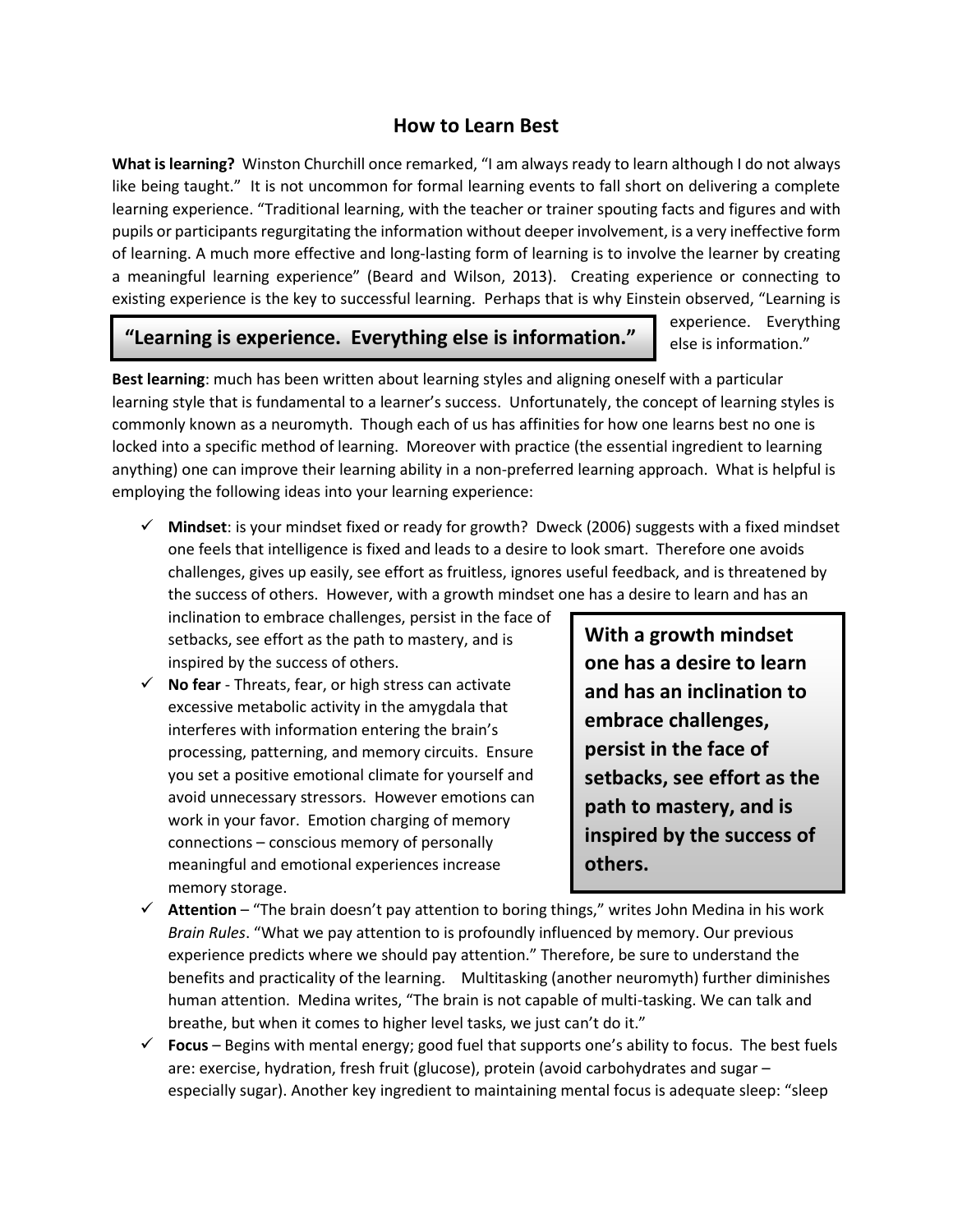## **How to Learn Best**

**What is learning?** Winston Churchill once remarked, "I am always ready to learn although I do not always like being taught." It is not uncommon for formal learning events to fall short on delivering a complete learning experience. "Traditional learning, with the teacher or trainer spouting facts and figures and with pupils or participants regurgitating the information without deeper involvement, is a very ineffective form of learning. A much more effective and long-lasting form of learning is to involve the learner by creating a meaningful learning experience" (Beard and Wilson, 2013). Creating experience or connecting to existing experience is the key to successful learning. Perhaps that is why Einstein observed, "Learning is

## **"Learning is experience. Everything else is information."**

experience. Everything else is information."

**Best learning**: much has been written about learning styles and aligning oneself with a particular learning style that is fundamental to a learner's success. Unfortunately, the concept of learning styles is commonly known as a neuromyth. Though each of us has affinities for how one learns best no one is locked into a specific method of learning. Moreover with practice (the essential ingredient to learning anything) one can improve their learning ability in a non-preferred learning approach. What is helpful is employing the following ideas into your learning experience:

 **Mindset**: is your mindset fixed or ready for growth? Dweck (2006) suggests with a fixed mindset one feels that intelligence is fixed and leads to a desire to look smart. Therefore one avoids challenges, gives up easily, see effort as fruitless, ignores useful feedback, and is threatened by the success of others. However, with a growth mindset one has a desire to learn and has an

inclination to embrace challenges, persist in the face of setbacks, see effort as the path to mastery, and is inspired by the success of others.

 $\checkmark$  **No fear** - Threats, fear, or high stress can activate excessive metabolic activity in the amygdala that interferes with information entering the brain's processing, patterning, and memory circuits. Ensure you set a positive emotional climate for yourself and avoid unnecessary stressors. However emotions can work in your favor. Emotion charging of memory connections – conscious memory of personally meaningful and emotional experiences increase memory storage.

**With a growth mindset one has a desire to learn and has an inclination to embrace challenges, persist in the face of setbacks, see effort as the path to mastery, and is inspired by the success of others.** 

- **Attention** "The brain doesn't pay attention to boring things," writes John Medina in his work *Brain Rules*. "What we pay attention to is profoundly influenced by memory. Our previous experience predicts where we should pay attention." Therefore, be sure to understand the benefits and practicality of the learning. Multitasking (another neuromyth) further diminishes human attention. Medina writes, "The brain is not capable of multi-tasking. We can talk and breathe, but when it comes to higher level tasks, we just can't do it."
- **Focus** Begins with mental energy; good fuel that supports one's ability to focus. The best fuels are: exercise, hydration, fresh fruit (glucose), protein (avoid carbohydrates and sugar – especially sugar). Another key ingredient to maintaining mental focus is adequate sleep: "sleep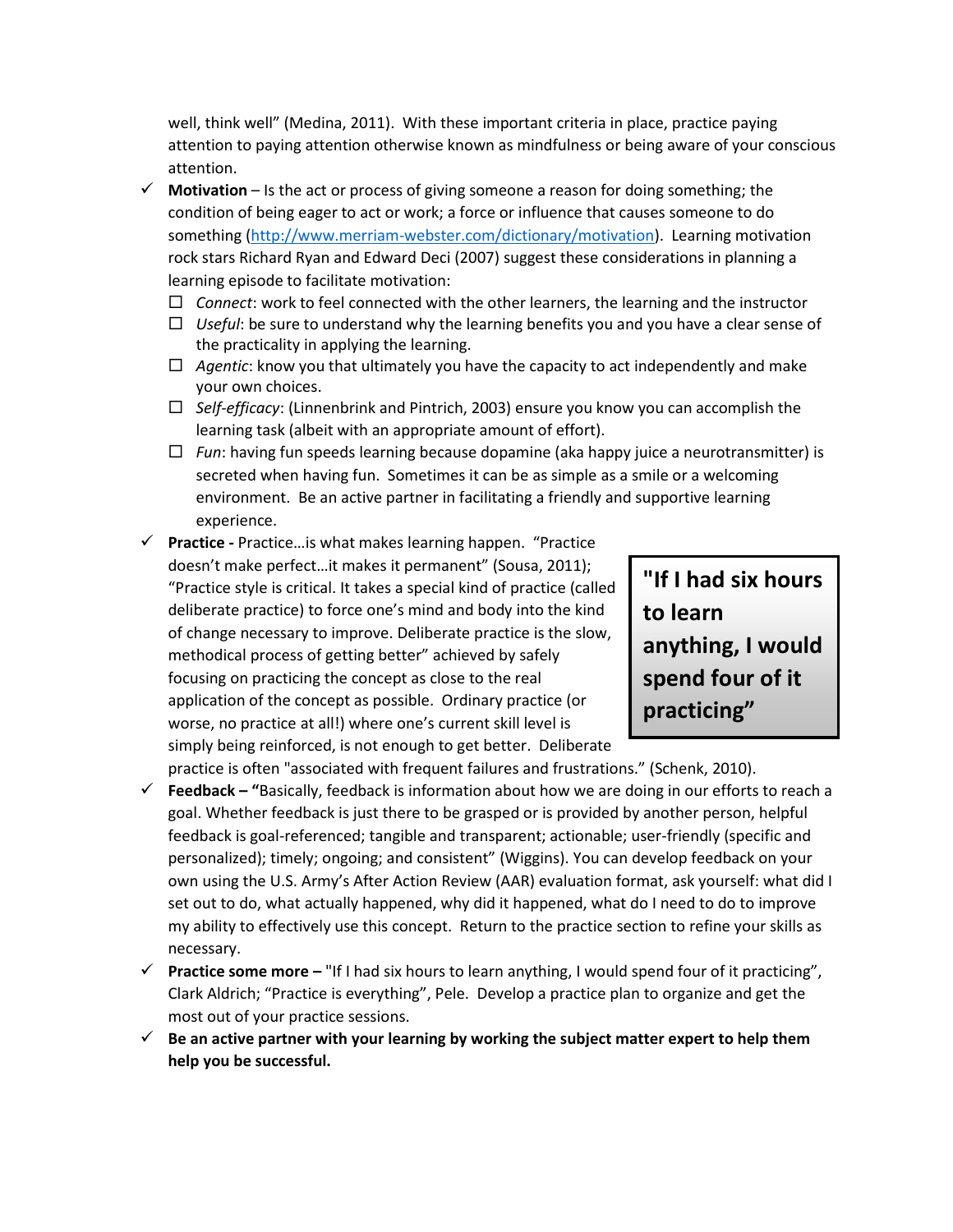well, think well" (Medina, 2011). With these important criteria in place, practice paying attention to paying attention otherwise known as mindfulness or being aware of your conscious attention.

- $\checkmark$  Motivation Is the act or process of giving someone a reason for doing something; the condition of being eager to act or work; a force or influence that causes someone to do something [\(http://www.merriam-webster.com/dictionary/motivation\)](http://www.merriam-webster.com/dictionary/motivation). Learning motivation rock stars Richard Ryan and Edward Deci (2007) suggest these considerations in planning a learning episode to facilitate motivation:
	- $\Box$  Connect: work to feel connected with the other learners, the learning and the instructor
	- *Useful*: be sure to understand why the learning benefits you and you have a clear sense of the practicality in applying the learning.
	- $\Box$  *Agentic*: know you that ultimately you have the capacity to act independently and make your own choices.
	- *Self-efficacy*: (Linnenbrink and Pintrich, 2003) ensure you know you can accomplish the learning task (albeit with an appropriate amount of effort).
	- *Fun*: having fun speeds learning because dopamine (aka happy juice a neurotransmitter) is secreted when having fun. Sometimes it can be as simple as a smile or a welcoming environment. Be an active partner in facilitating a friendly and supportive learning experience.
- **Practice -** Practice…is what makes learning happen. "Practice doesn't make perfect…it makes it permanent" (Sousa, 2011); "Practice style is critical. It takes a special kind of practice (called deliberate practice) to force one's mind and body into the kind of change necessary to improve. Deliberate practice is the slow, methodical process of getting better" achieved by safely focusing on practicing the concept as close to the real application of the concept as possible. Ordinary practice (or worse, no practice at all!) where one's current skill level is simply being reinforced, is not enough to get better. Deliberate

**"If I had six hours to learn anything, I would spend four of it practicing"**

practice is often "associated with frequent failures and frustrations." (Schenk, 2010).

- **Feedback – "**Basically, feedback is information about how we are doing in our efforts to reach a goal. Whether feedback is just there to be grasped or is provided by another person, helpful feedback is goal-referenced; tangible and transparent; actionable; user-friendly (specific and personalized); timely; ongoing; and consistent" (Wiggins). You can develop feedback on your own using the U.S. Army's After Action Review (AAR) evaluation format, ask yourself: what did I set out to do, what actually happened, why did it happened, what do I need to do to improve my ability to effectively use this concept. Return to the practice section to refine your skills as necessary.
- **Practice some more –** "If I had six hours to learn anything, I would spend four of it practicing", Clark Aldrich; "Practice is everything", Pele. Develop a practice plan to organize and get the most out of your practice sessions.
- **Be an active partner with your learning by working the subject matter expert to help them help you be successful.**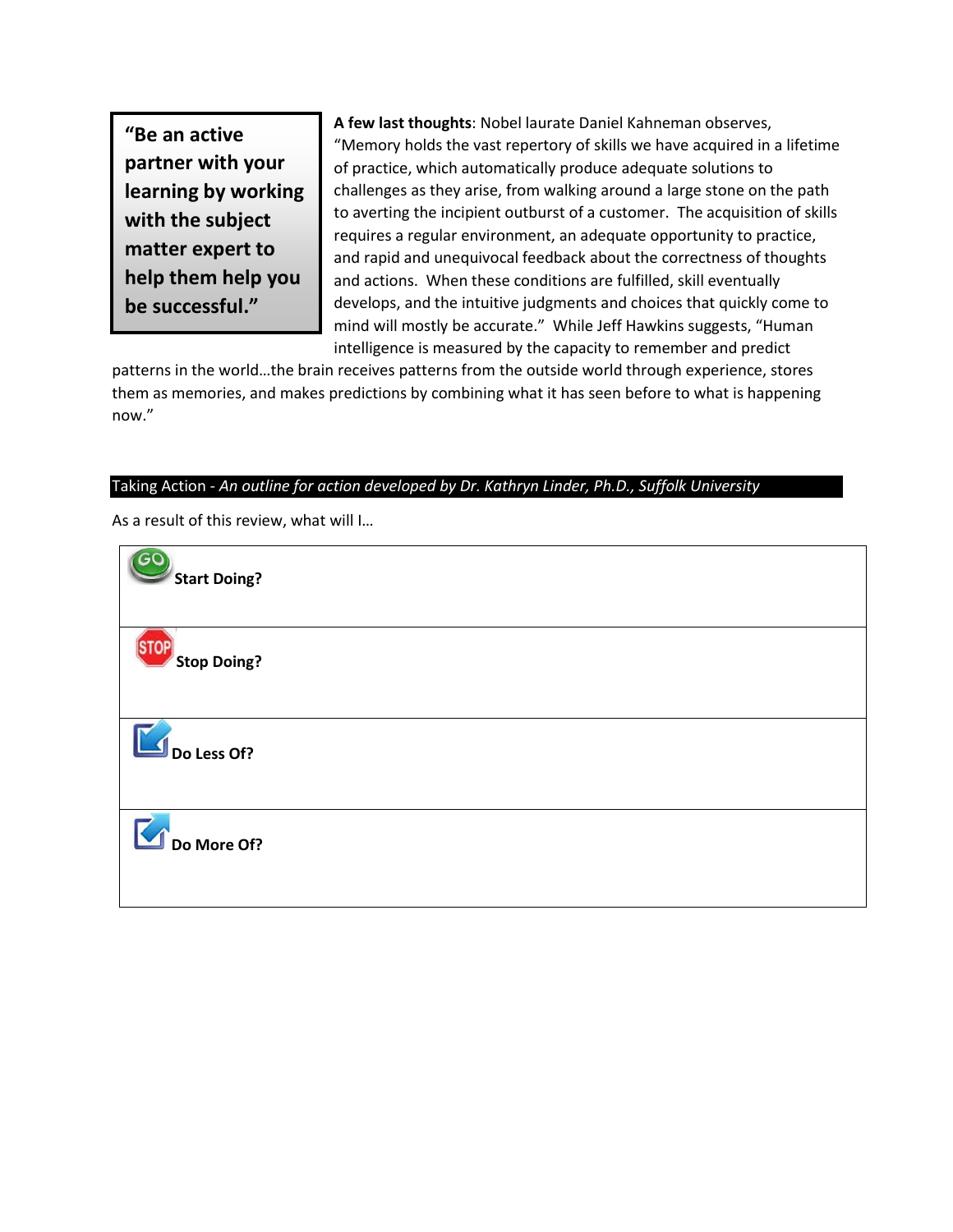**"Be an active partner with your learning by working with the subject matter expert to help them help you be successful."**

**A few last thoughts**: Nobel laurate Daniel Kahneman observes, "Memory holds the vast repertory of skills we have acquired in a lifetime of practice, which automatically produce adequate solutions to challenges as they arise, from walking around a large stone on the path to averting the incipient outburst of a customer. The acquisition of skills requires a regular environment, an adequate opportunity to practice, and rapid and unequivocal feedback about the correctness of thoughts and actions. When these conditions are fulfilled, skill eventually develops, and the intuitive judgments and choices that quickly come to mind will mostly be accurate." While Jeff Hawkins suggests, "Human intelligence is measured by the capacity to remember and predict

patterns in the world…the brain receives patterns from the outside world through experience, stores them as memories, and makes predictions by combining what it has seen before to what is happening now."

## Taking Action *- An outline for action developed by Dr. Kathryn Linder, Ph.D., Suffolk University*

As a result of this review, what will I…

| <b>CO</b><br>Start Doing?  |
|----------------------------|
| <b>TOP</b><br>Stop Doing?  |
| $\blacksquare$ Do Less Of? |
| Do More Of?                |